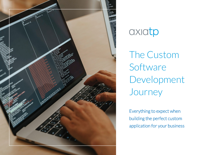

# axiatp

The Custom Software Development Journey

Everything to expect when building the perfect custom application for your business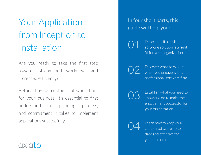# Your Application from Inception to Installation

Are you ready to take the first step towards streamlined workflows and increased efficiency?

Before having custom software built for your business, it's essential to first understand the planning, process, and commitment it takes to implement applications successfully.

### In four short parts, this guide will help you:

Determine if a custom software solution is a right fit for your organization. 01

 $02$  Discover what to expect when you engage with a professional software firm.

 $\bigcap$   $\bigcap$  Establish what you need to know and do to make the engagement successful for your organization.

04 Learn how to keep your<br>custom software up to date and effective for years to come.

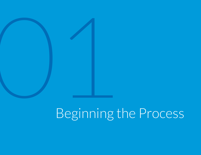

# Beginning the Process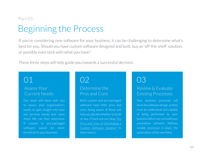# Beginning the Process Part 01

If you're considering new software for your business, it can be challenging to determine what's best for you. Should you have custom software designed and built, buy an 'off-the-shelf' solution, or possibly even stick with what you have?

These three steps will help guide you towards a successful decision:

### Assess Your Current Needs

Our team will meet with you to assess your organization's needs to gain insight into how our services would best meet them. We can then determine if custom or pre-packaged software would be more beneficial to your business.

## 01 02

### Determine the Pros and Cons

Both custom and pre-packaged software have their pros and cons; being aware of those will help you decide whether to build or buy. (Check out our blog ['The](https://www.axiatp.com/pros-cons-developing-custom-software/)  [Pros and Cons of Developing a](https://www.axiatp.com/pros-cons-developing-custom-software/)  [Custom Software Solution'](https://www.axiatp.com/pros-cons-developing-custom-software/) to learn more.)

# 03

### Review & Evaluate Existing Processes

Your business processes will drive the software design, so they must be understood and capable of being performed by your business before we can build your automation software. Without reliable processes in place, the automation will be worthless.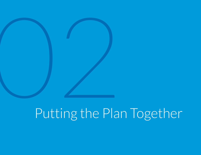# **OVER THE PLANNING SERVICE SERVICE SERVICE SERVICE SERVICE SERVICE SERVICE SERVICE SERVICE SERVICE SERVICE SERVICE SERVICE SERVICE SERVICE SERVICE SERVICE SERVICE SERVICE SERVICE SERVICE SERVICE SERVICE SERVICE SERVICE SER** Putting the Plan Together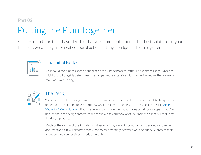# Putting the Plan Together Part 02

Once you and our team have decided that a custom application is the best solution for your business, we will begin the next course of action: putting a budget and plan together.



### The Initial Budget

You should not expect a specific budget this early in the process, rather an estimated range. Once the initial broad budget is determined, we can get more extensive with the design and further develop more accurate pricing.



### The Design

We recommend spending some time learning about our developer's styles and techniques to understand the design process and know what to expect. In doing so, you may hear terms like ['Agile' or](https://www.axiatp.com/managing-software-development-projects-agile-vs-waterfall-methodologies/)  ['Waterfall' Methodologies.](https://www.axiatp.com/managing-software-development-projects-agile-vs-waterfall-methodologies/) Both are relevant and have their advantages and disadvantages. If you're unsure about the design process, ask us to explain so you know what your role as a client will be during the design process.

Much of the design phase includes a gathering of high-level information and detailed requirement documentation. It will also have many face-to-face meetings between you and our development team to understand your business needs thoroughly.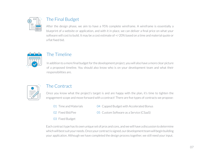

### The Final Budget

After the design phase, we aim to have a 95% complete wireframe. A wireframe is essentially a blueprint of a website or application, and with it in place, we can deliver a final price on what your software will cost to build. It may be a cost estimate of +/-20% based on a time and material quote or a flat fixed bid.



### The Timeline

In addition to a more final budget for the development project, you will also have a more clear picture of a proposed timeline. You should also know who is on your development team and what their responsibilities are.



### The Contract

Once you know what the project's target is and are happy with the plan, it's time to tighten the engagement scope and move forward with a contract! There are five types of contracts we propose:

- 01 Time and Materials
- 04 Capped Budget with Accelerated Bonus

02 Fixed Bid/Fee

05 Custom Software as a Service (CSaaS)

03 Fixed Budget

- 
- Each contract type has its own unique set of pros and cons, and we will have a discussion to determine which will best suit your needs. Once your contract is signed, our development team will begin building your application. Although we have completed the design process together, we still need your input.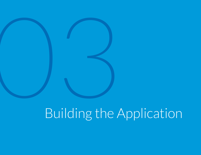# **OVERTHE** Building the Application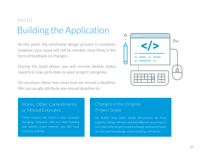# Building the Application Part 03

At this point, the wireframe design process is complete; however, your input will still be needed, most likely in the form of feedback on changes.

During the build phase, you will receive weekly status reports to stay up to date on your project's progress.

On occasion, these may show that we missed a deadline. We can usually attribute any missed deadline to:



### Illness, Other Commitments, or Missed Estimates

These reasons will result in your schedule changing. However, with our time tracking and weekly status reports, you will have constant visibility.

### Changes in the Original Project Scope

No matter how many design discussions we have together, things will look and feel different once they're live. Expect the project scope to change somewhat based on improved knowledge, understanding, and desire.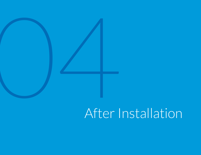

# After Installation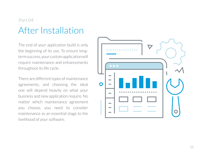# After Installation Part 04

The end of your application build is only the beginning of its use. To ensure longterm success, your custom application will require maintenance and enhancements throughout its life cycle.

There are different types of maintenance agreements, and choosing the ideal one will depend heavily on what your business and new application require. No matter which maintenance agreement you choose, you need to consider maintenance as an essential stage to the livelihood of your software.

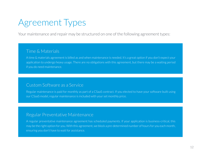# Agreement Types

Your maintenance and repair may be structured on one of the following agreement types:

### Time & Materials

A time & materials agreement is billed as and when maintenance is needed. It's a great option if you don't expect your application to undergo heavy usage. There are no obligations with this agreement, but there may be a waiting period if you do need maintenance.

### Custom Software as a Service

Regular maintenance is paid for monthly as part of a CSaaS contract. If you elected to have your software built using our CSaaS model, regular maintenance is included with your set monthly price.

### Regular Preventative Maintenance

A regular preventative maintenance agreement has scheduled payments. If your application is business-critical, this may be the right option for you. With this agreement, we block a pre-determined number of hours for you each month, ensuring you don't have to wait for assistance.